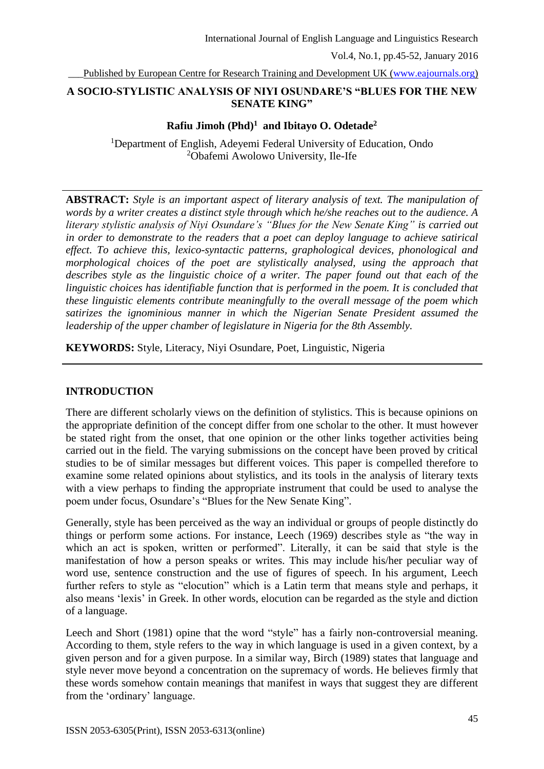Vol.4, No.1, pp.45-52, January 2016

Published by European Centre for Research Training and Development UK [\(www.eajournals.org\)](http://www.eajournals.org/)

## **A SOCIO-STYLISTIC ANALYSIS OF NIYI OSUNDARE'S "BLUES FOR THE NEW SENATE KING"**

## **Rafiu Jimoh (Phd)<sup>1</sup> and Ibitayo O. Odetade<sup>2</sup>**

<sup>1</sup>Department of English, Adeyemi Federal University of Education, Ondo <sup>2</sup>Obafemi Awolowo University, Ile-Ife

**ABSTRACT:** *Style is an important aspect of literary analysis of text. The manipulation of words by a writer creates a distinct style through which he/she reaches out to the audience. A literary stylistic analysis of Niyi Osundare's "Blues for the New Senate King" is carried out in order to demonstrate to the readers that a poet can deploy language to achieve satirical effect. To achieve this, lexico-syntactic patterns, graphological devices, phonological and morphological choices of the poet are stylistically analysed, using the approach that describes style as the linguistic choice of a writer. The paper found out that each of the linguistic choices has identifiable function that is performed in the poem. It is concluded that these linguistic elements contribute meaningfully to the overall message of the poem which satirizes the ignominious manner in which the Nigerian Senate President assumed the leadership of the upper chamber of legislature in Nigeria for the 8th Assembly.*

**KEYWORDS:** Style, Literacy, Niyi Osundare, Poet, Linguistic, Nigeria

# **INTRODUCTION**

There are different scholarly views on the definition of stylistics. This is because opinions on the appropriate definition of the concept differ from one scholar to the other. It must however be stated right from the onset, that one opinion or the other links together activities being carried out in the field. The varying submissions on the concept have been proved by critical studies to be of similar messages but different voices. This paper is compelled therefore to examine some related opinions about stylistics, and its tools in the analysis of literary texts with a view perhaps to finding the appropriate instrument that could be used to analyse the poem under focus, Osundare's "Blues for the New Senate King".

Generally, style has been perceived as the way an individual or groups of people distinctly do things or perform some actions. For instance, Leech (1969) describes style as "the way in which an act is spoken, written or performed". Literally, it can be said that style is the manifestation of how a person speaks or writes. This may include his/her peculiar way of word use, sentence construction and the use of figures of speech. In his argument, Leech further refers to style as "elocution" which is a Latin term that means style and perhaps, it also means 'lexis' in Greek. In other words, elocution can be regarded as the style and diction of a language.

Leech and Short (1981) opine that the word "style" has a fairly non-controversial meaning. According to them, style refers to the way in which language is used in a given context, by a given person and for a given purpose. In a similar way, Birch (1989) states that language and style never move beyond a concentration on the supremacy of words. He believes firmly that these words somehow contain meanings that manifest in ways that suggest they are different from the 'ordinary' language.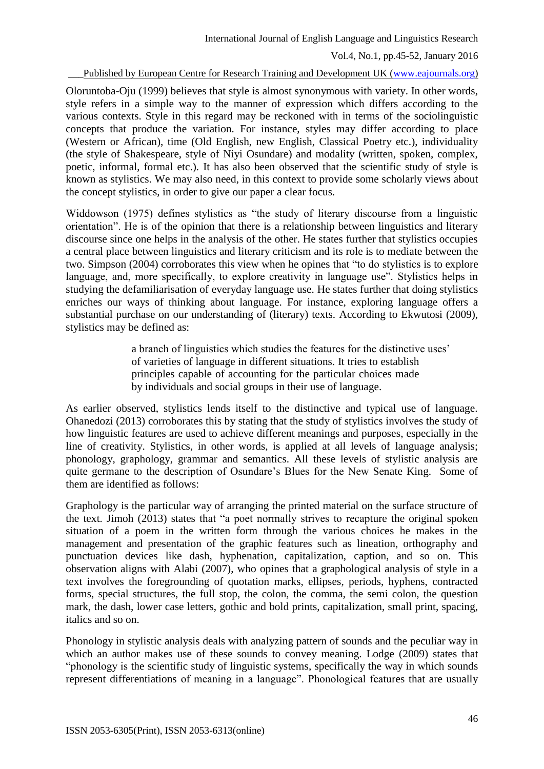Vol.4, No.1, pp.45-52, January 2016

Published by European Centre for Research Training and Development UK [\(www.eajournals.org\)](http://www.eajournals.org/)

Oloruntoba-Oju (1999) believes that style is almost synonymous with variety. In other words, style refers in a simple way to the manner of expression which differs according to the various contexts. Style in this regard may be reckoned with in terms of the sociolinguistic concepts that produce the variation. For instance, styles may differ according to place (Western or African), time (Old English, new English, Classical Poetry etc.), individuality (the style of Shakespeare, style of Niyi Osundare) and modality (written, spoken, complex, poetic, informal, formal etc.). It has also been observed that the scientific study of style is known as stylistics. We may also need, in this context to provide some scholarly views about the concept stylistics, in order to give our paper a clear focus.

Widdowson (1975) defines stylistics as "the study of literary discourse from a linguistic orientation". He is of the opinion that there is a relationship between linguistics and literary discourse since one helps in the analysis of the other. He states further that stylistics occupies a central place between linguistics and literary criticism and its role is to mediate between the two. Simpson (2004) corroborates this view when he opines that "to do stylistics is to explore language, and, more specifically, to explore creativity in language use". Stylistics helps in studying the defamiliarisation of everyday language use. He states further that doing stylistics enriches our ways of thinking about language. For instance, exploring language offers a substantial purchase on our understanding of (literary) texts. According to Ekwutosi (2009), stylistics may be defined as:

> a branch of linguistics which studies the features for the distinctive uses' of varieties of language in different situations. It tries to establish principles capable of accounting for the particular choices made by individuals and social groups in their use of language.

As earlier observed, stylistics lends itself to the distinctive and typical use of language. Ohanedozi (2013) corroborates this by stating that the study of stylistics involves the study of how linguistic features are used to achieve different meanings and purposes, especially in the line of creativity. Stylistics, in other words, is applied at all levels of language analysis; phonology, graphology, grammar and semantics. All these levels of stylistic analysis are quite germane to the description of Osundare's Blues for the New Senate King. Some of them are identified as follows:

Graphology is the particular way of arranging the printed material on the surface structure of the text. Jimoh (2013) states that "a poet normally strives to recapture the original spoken situation of a poem in the written form through the various choices he makes in the management and presentation of the graphic features such as lineation, orthography and punctuation devices like dash, hyphenation, capitalization, caption, and so on. This observation aligns with Alabi (2007), who opines that a graphological analysis of style in a text involves the foregrounding of quotation marks, ellipses, periods, hyphens, contracted forms, special structures, the full stop, the colon, the comma, the semi colon, the question mark, the dash, lower case letters, gothic and bold prints, capitalization, small print, spacing, italics and so on.

Phonology in stylistic analysis deals with analyzing pattern of sounds and the peculiar way in which an author makes use of these sounds to convey meaning. Lodge (2009) states that "phonology is the scientific study of linguistic systems, specifically the way in which sounds represent differentiations of meaning in a language". Phonological features that are usually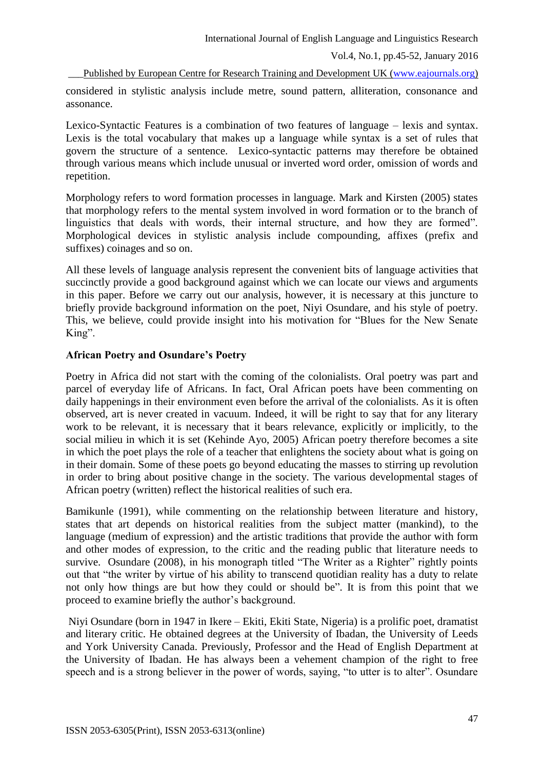Vol.4, No.1, pp.45-52, January 2016

Published by European Centre for Research Training and Development UK [\(www.eajournals.org\)](http://www.eajournals.org/)

considered in stylistic analysis include metre, sound pattern, alliteration, consonance and assonance.

Lexico-Syntactic Features is a combination of two features of language – lexis and syntax. Lexis is the total vocabulary that makes up a language while syntax is a set of rules that govern the structure of a sentence. Lexico-syntactic patterns may therefore be obtained through various means which include unusual or inverted word order, omission of words and repetition.

Morphology refers to word formation processes in language. Mark and Kirsten (2005) states that morphology refers to the mental system involved in word formation or to the branch of linguistics that deals with words, their internal structure, and how they are formed". Morphological devices in stylistic analysis include compounding, affixes (prefix and suffixes) coinages and so on.

All these levels of language analysis represent the convenient bits of language activities that succinctly provide a good background against which we can locate our views and arguments in this paper. Before we carry out our analysis, however, it is necessary at this juncture to briefly provide background information on the poet, Niyi Osundare, and his style of poetry. This, we believe, could provide insight into his motivation for "Blues for the New Senate King".

## **African Poetry and Osundare's Poetry**

Poetry in Africa did not start with the coming of the colonialists. Oral poetry was part and parcel of everyday life of Africans. In fact, Oral African poets have been commenting on daily happenings in their environment even before the arrival of the colonialists. As it is often observed, art is never created in vacuum. Indeed, it will be right to say that for any literary work to be relevant, it is necessary that it bears relevance, explicitly or implicitly, to the social milieu in which it is set (Kehinde Ayo, 2005) African poetry therefore becomes a site in which the poet plays the role of a teacher that enlightens the society about what is going on in their domain. Some of these poets go beyond educating the masses to stirring up revolution in order to bring about positive change in the society. The various developmental stages of African poetry (written) reflect the historical realities of such era.

Bamikunle (1991), while commenting on the relationship between literature and history, states that art depends on historical realities from the subject matter (mankind), to the language (medium of expression) and the artistic traditions that provide the author with form and other modes of expression, to the critic and the reading public that literature needs to survive. Osundare (2008), in his monograph titled "The Writer as a Righter" rightly points out that "the writer by virtue of his ability to transcend quotidian reality has a duty to relate not only how things are but how they could or should be". It is from this point that we proceed to examine briefly the author's background.

Niyi Osundare (born in 1947 in Ikere – Ekiti, Ekiti State, Nigeria) is a prolific poet, dramatist and literary critic. He obtained degrees at the University of Ibadan, the University of Leeds and York University Canada. Previously, Professor and the Head of English Department at the University of Ibadan. He has always been a vehement champion of the right to free speech and is a strong believer in the power of words, saying, "to utter is to alter". Osundare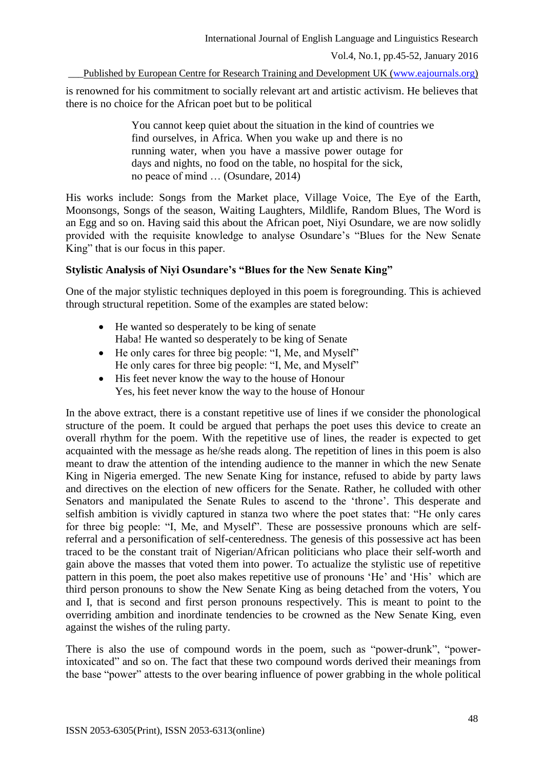Vol.4, No.1, pp.45-52, January 2016

Published by European Centre for Research Training and Development UK [\(www.eajournals.org\)](http://www.eajournals.org/)

is renowned for his commitment to socially relevant art and artistic activism. He believes that there is no choice for the African poet but to be political

> You cannot keep quiet about the situation in the kind of countries we find ourselves, in Africa. When you wake up and there is no running water, when you have a massive power outage for days and nights, no food on the table, no hospital for the sick, no peace of mind … (Osundare, 2014)

His works include: Songs from the Market place, Village Voice, The Eye of the Earth, Moonsongs, Songs of the season, Waiting Laughters, Mildlife, Random Blues, The Word is an Egg and so on. Having said this about the African poet, Niyi Osundare, we are now solidly provided with the requisite knowledge to analyse Osundare's "Blues for the New Senate King" that is our focus in this paper.

# **Stylistic Analysis of Niyi Osundare's "Blues for the New Senate King"**

One of the major stylistic techniques deployed in this poem is foregrounding. This is achieved through structural repetition. Some of the examples are stated below:

- He wanted so desperately to be king of senate Haba! He wanted so desperately to be king of Senate
- He only cares for three big people: "I, Me, and Myself" He only cares for three big people: "I, Me, and Myself"
- His feet never know the way to the house of Honour Yes, his feet never know the way to the house of Honour

In the above extract, there is a constant repetitive use of lines if we consider the phonological structure of the poem. It could be argued that perhaps the poet uses this device to create an overall rhythm for the poem. With the repetitive use of lines, the reader is expected to get acquainted with the message as he/she reads along. The repetition of lines in this poem is also meant to draw the attention of the intending audience to the manner in which the new Senate King in Nigeria emerged. The new Senate King for instance, refused to abide by party laws and directives on the election of new officers for the Senate. Rather, he colluded with other Senators and manipulated the Senate Rules to ascend to the 'throne'. This desperate and selfish ambition is vividly captured in stanza two where the poet states that: "He only cares for three big people: "I, Me, and Myself". These are possessive pronouns which are selfreferral and a personification of self-centeredness. The genesis of this possessive act has been traced to be the constant trait of Nigerian/African politicians who place their self-worth and gain above the masses that voted them into power. To actualize the stylistic use of repetitive pattern in this poem, the poet also makes repetitive use of pronouns 'He' and 'His' which are third person pronouns to show the New Senate King as being detached from the voters, You and I, that is second and first person pronouns respectively. This is meant to point to the overriding ambition and inordinate tendencies to be crowned as the New Senate King, even against the wishes of the ruling party.

There is also the use of compound words in the poem, such as "power-drunk", "powerintoxicated" and so on. The fact that these two compound words derived their meanings from the base "power" attests to the over bearing influence of power grabbing in the whole political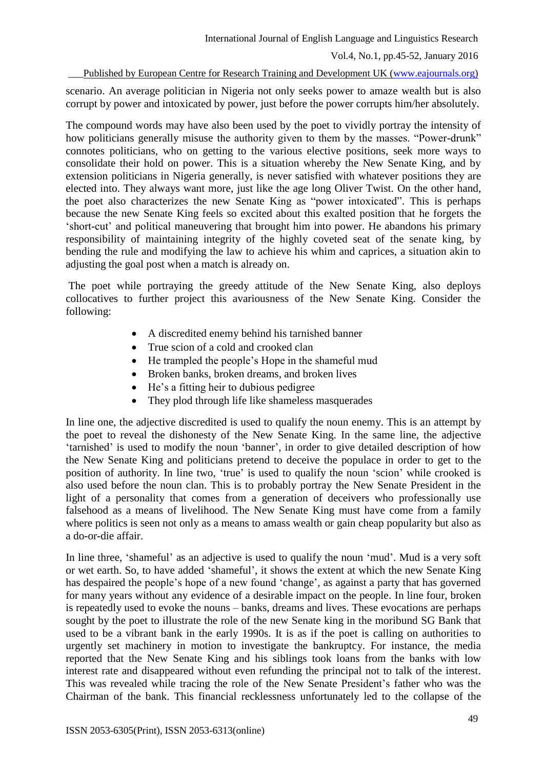Vol.4, No.1, pp.45-52, January 2016

## Published by European Centre for Research Training and Development UK [\(www.eajournals.org\)](http://www.eajournals.org/)

scenario. An average politician in Nigeria not only seeks power to amaze wealth but is also corrupt by power and intoxicated by power, just before the power corrupts him/her absolutely.

The compound words may have also been used by the poet to vividly portray the intensity of how politicians generally misuse the authority given to them by the masses. "Power-drunk" connotes politicians, who on getting to the various elective positions, seek more ways to consolidate their hold on power. This is a situation whereby the New Senate King, and by extension politicians in Nigeria generally, is never satisfied with whatever positions they are elected into. They always want more, just like the age long Oliver Twist. On the other hand, the poet also characterizes the new Senate King as "power intoxicated". This is perhaps because the new Senate King feels so excited about this exalted position that he forgets the 'short-cut' and political maneuvering that brought him into power. He abandons his primary responsibility of maintaining integrity of the highly coveted seat of the senate king, by bending the rule and modifying the law to achieve his whim and caprices, a situation akin to adjusting the goal post when a match is already on.

The poet while portraying the greedy attitude of the New Senate King, also deploys collocatives to further project this avariousness of the New Senate King. Consider the following:

- A discredited enemy behind his tarnished banner
- True scion of a cold and crooked clan
- He trampled the people's Hope in the shameful mud
- Broken banks, broken dreams, and broken lives
- He's a fitting heir to dubious pedigree
- They plod through life like shameless masquerades

In line one, the adjective discredited is used to qualify the noun enemy. This is an attempt by the poet to reveal the dishonesty of the New Senate King. In the same line, the adjective 'tarnished' is used to modify the noun 'banner', in order to give detailed description of how the New Senate King and politicians pretend to deceive the populace in order to get to the position of authority. In line two, 'true' is used to qualify the noun 'scion' while crooked is also used before the noun clan. This is to probably portray the New Senate President in the light of a personality that comes from a generation of deceivers who professionally use falsehood as a means of livelihood. The New Senate King must have come from a family where politics is seen not only as a means to amass wealth or gain cheap popularity but also as a do-or-die affair.

In line three, 'shameful' as an adjective is used to qualify the noun 'mud'. Mud is a very soft or wet earth. So, to have added 'shameful', it shows the extent at which the new Senate King has despaired the people's hope of a new found 'change', as against a party that has governed for many years without any evidence of a desirable impact on the people. In line four, broken is repeatedly used to evoke the nouns – banks, dreams and lives. These evocations are perhaps sought by the poet to illustrate the role of the new Senate king in the moribund SG Bank that used to be a vibrant bank in the early 1990s. It is as if the poet is calling on authorities to urgently set machinery in motion to investigate the bankruptcy. For instance, the media reported that the New Senate King and his siblings took loans from the banks with low interest rate and disappeared without even refunding the principal not to talk of the interest. This was revealed while tracing the role of the New Senate President's father who was the Chairman of the bank. This financial recklessness unfortunately led to the collapse of the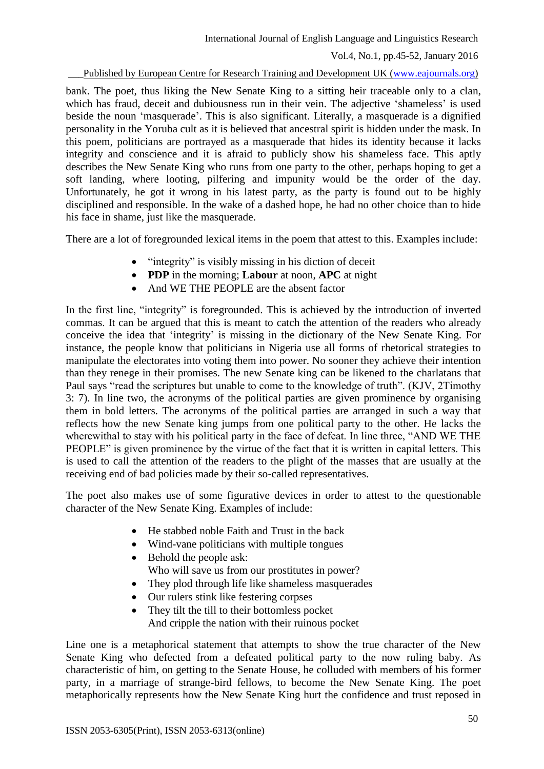Vol.4, No.1, pp.45-52, January 2016

#### Published by European Centre for Research Training and Development UK [\(www.eajournals.org\)](http://www.eajournals.org/)

bank. The poet, thus liking the New Senate King to a sitting heir traceable only to a clan, which has fraud, deceit and dubiousness run in their vein. The adjective 'shameless' is used beside the noun 'masquerade'. This is also significant. Literally, a masquerade is a dignified personality in the Yoruba cult as it is believed that ancestral spirit is hidden under the mask. In this poem, politicians are portrayed as a masquerade that hides its identity because it lacks integrity and conscience and it is afraid to publicly show his shameless face. This aptly describes the New Senate King who runs from one party to the other, perhaps hoping to get a soft landing, where looting, pilfering and impunity would be the order of the day. Unfortunately, he got it wrong in his latest party, as the party is found out to be highly disciplined and responsible. In the wake of a dashed hope, he had no other choice than to hide his face in shame, just like the masquerade.

There are a lot of foregrounded lexical items in the poem that attest to this. Examples include:

- $\bullet$  "integrity" is visibly missing in his diction of deceit
- **PDP** in the morning; **Labour** at noon, **APC** at night
- And WE THE PEOPLE are the absent factor

In the first line, "integrity" is foregrounded. This is achieved by the introduction of inverted commas. It can be argued that this is meant to catch the attention of the readers who already conceive the idea that 'integrity' is missing in the dictionary of the New Senate King. For instance, the people know that politicians in Nigeria use all forms of rhetorical strategies to manipulate the electorates into voting them into power. No sooner they achieve their intention than they renege in their promises. The new Senate king can be likened to the charlatans that Paul says "read the scriptures but unable to come to the knowledge of truth". (KJV, 2Timothy 3: 7). In line two, the acronyms of the political parties are given prominence by organising them in bold letters. The acronyms of the political parties are arranged in such a way that reflects how the new Senate king jumps from one political party to the other. He lacks the wherewithal to stay with his political party in the face of defeat. In line three, "AND WE THE PEOPLE" is given prominence by the virtue of the fact that it is written in capital letters. This is used to call the attention of the readers to the plight of the masses that are usually at the receiving end of bad policies made by their so-called representatives.

The poet also makes use of some figurative devices in order to attest to the questionable character of the New Senate King. Examples of include:

- He stabbed noble Faith and Trust in the back
- Wind-vane politicians with multiple tongues
- Behold the people ask: Who will save us from our prostitutes in power?
- They plod through life like shameless masquerades
- Our rulers stink like festering corpses
- They tilt the till to their bottomless pocket And cripple the nation with their ruinous pocket

Line one is a metaphorical statement that attempts to show the true character of the New Senate King who defected from a defeated political party to the now ruling baby. As characteristic of him, on getting to the Senate House, he colluded with members of his former party, in a marriage of strange-bird fellows, to become the New Senate King. The poet metaphorically represents how the New Senate King hurt the confidence and trust reposed in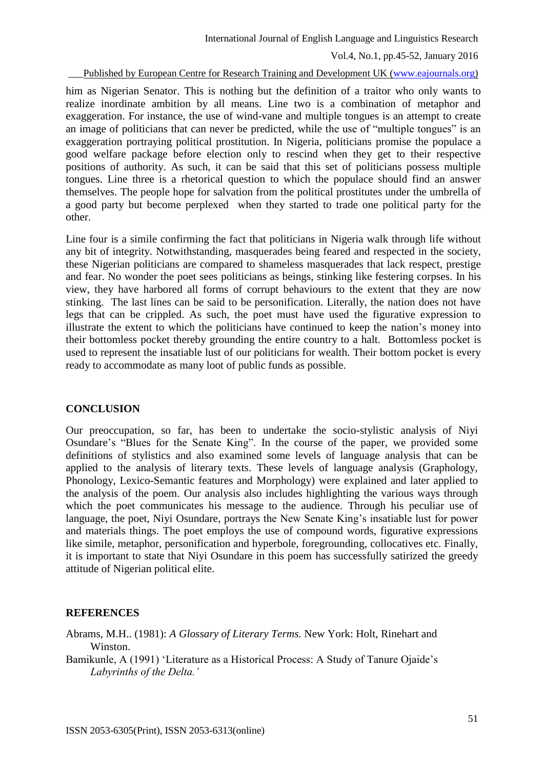Vol.4, No.1, pp.45-52, January 2016

Published by European Centre for Research Training and Development UK [\(www.eajournals.org\)](http://www.eajournals.org/)

him as Nigerian Senator. This is nothing but the definition of a traitor who only wants to realize inordinate ambition by all means. Line two is a combination of metaphor and exaggeration. For instance, the use of wind-vane and multiple tongues is an attempt to create an image of politicians that can never be predicted, while the use of "multiple tongues" is an exaggeration portraying political prostitution. In Nigeria, politicians promise the populace a good welfare package before election only to rescind when they get to their respective positions of authority. As such, it can be said that this set of politicians possess multiple tongues. Line three is a rhetorical question to which the populace should find an answer themselves. The people hope for salvation from the political prostitutes under the umbrella of a good party but become perplexed when they started to trade one political party for the other.

Line four is a simile confirming the fact that politicians in Nigeria walk through life without any bit of integrity. Notwithstanding, masquerades being feared and respected in the society, these Nigerian politicians are compared to shameless masquerades that lack respect, prestige and fear. No wonder the poet sees politicians as beings, stinking like festering corpses. In his view, they have harbored all forms of corrupt behaviours to the extent that they are now stinking. The last lines can be said to be personification. Literally, the nation does not have legs that can be crippled. As such, the poet must have used the figurative expression to illustrate the extent to which the politicians have continued to keep the nation's money into their bottomless pocket thereby grounding the entire country to a halt. Bottomless pocket is used to represent the insatiable lust of our politicians for wealth. Their bottom pocket is every ready to accommodate as many loot of public funds as possible.

## **CONCLUSION**

Our preoccupation, so far, has been to undertake the socio-stylistic analysis of Niyi Osundare's "Blues for the Senate King". In the course of the paper, we provided some definitions of stylistics and also examined some levels of language analysis that can be applied to the analysis of literary texts. These levels of language analysis (Graphology, Phonology, Lexico-Semantic features and Morphology) were explained and later applied to the analysis of the poem. Our analysis also includes highlighting the various ways through which the poet communicates his message to the audience. Through his peculiar use of language, the poet, Niyi Osundare, portrays the New Senate King's insatiable lust for power and materials things. The poet employs the use of compound words, figurative expressions like simile, metaphor, personification and hyperbole, foregrounding, collocatives etc. Finally, it is important to state that Niyi Osundare in this poem has successfully satirized the greedy attitude of Nigerian political elite.

## **REFERENCES**

Abrams, M.H.. (1981): *A Glossary of Literary Terms.* New York: Holt, Rinehart and Winston.

Bamikunle, A (1991) 'Literature as a Historical Process: A Study of Tanure Ojaide's *Labyrinths of the Delta.'*